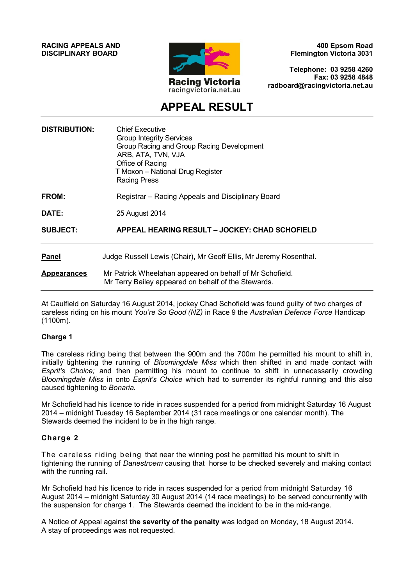**RACING APPEALS AND DISCIPLINARY BOARD**



**400 Epsom Road Flemington Victoria 3031**

**Telephone: 03 9258 4260 Fax: 03 9258 4848 radboard@racingvictoria.net.au**

## **APPEAL RESULT**

| <b>DISTRIBUTION:</b> | <b>Chief Executive</b><br><b>Group Integrity Services</b><br>Group Racing and Group Racing Development<br>ARB, ATA, TVN, VJA<br>Office of Racing<br>T Moxon - National Drug Register<br>Racing Press |
|----------------------|------------------------------------------------------------------------------------------------------------------------------------------------------------------------------------------------------|
| <b>FROM:</b>         | Registrar – Racing Appeals and Disciplinary Board                                                                                                                                                    |
| DATE:                | 25 August 2014                                                                                                                                                                                       |
| <b>SUBJECT:</b>      | APPEAL HEARING RESULT - JOCKEY: CHAD SCHOFIELD                                                                                                                                                       |
| <b>Panel</b>         | Judge Russell Lewis (Chair), Mr Geoff Ellis, Mr Jeremy Rosenthal.                                                                                                                                    |
| <b>Appearances</b>   | Mr Patrick Wheelahan appeared on behalf of Mr Schofield.<br>Mr Terry Bailey appeared on behalf of the Stewards.                                                                                      |

At Caulfield on Saturday 16 August 2014, jockey Chad Schofield was found guilty of two charges of careless riding on his mount *You're So Good (NZ)* in Race 9 the *Australian Defence Force* Handicap (1100m).

#### **Charge 1**

The careless riding being that between the 900m and the 700m he permitted his mount to shift in, initially tightening the running of *Bloomingdale Miss* which then shifted in and made contact with *Esprit's Choice;* and then permitting his mount to continue to shift in unnecessarily crowding *Bloomingdale Miss* in onto *Esprit's Choice* which had to surrender its rightful running and this also caused tightening to *Bonaria.*

Mr Schofield had his licence to ride in races suspended for a period from midnight Saturday 16 August 2014 – midnight Tuesday 16 September 2014 (31 race meetings or one calendar month). The Stewards deemed the incident to be in the high range.

#### **Charge 2**

The careless riding being that near the winning post he permitted his mount to shift in tightening the running of *Danestroem* causing that horse to be checked severely and making contact with the running rail.

Mr Schofield had his licence to ride in races suspended for a period from midnight Saturday 16 August 2014 – midnight Saturday 30 August 2014 (14 race meetings) to be served concurrently with the suspension for charge 1. The Stewards deemed the incident to be in the mid-range.

A Notice of Appeal against **the severity of the penalty** was lodged on Monday, 18 August 2014. A stay of proceedings was not requested.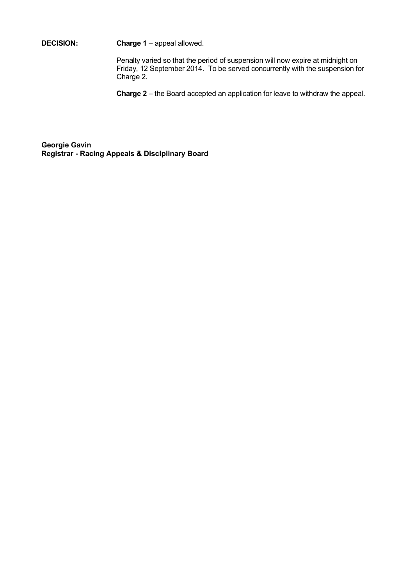**DECISION: Charge 1** – appeal allowed.

Penalty varied so that the period of suspension will now expire at midnight on Friday, 12 September 2014. To be served concurrently with the suspension for Charge 2.

**Charge 2** – the Board accepted an application for leave to withdraw the appeal.

**Georgie Gavin Registrar - Racing Appeals & Disciplinary Board**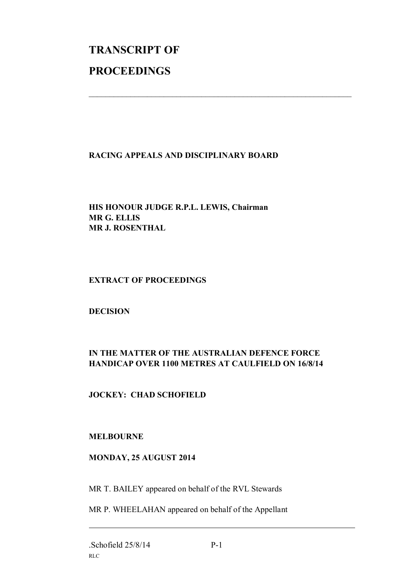# **TRANSCRIPT OF PROCEEDINGS**

#### **RACING APPEALS AND DISCIPLINARY BOARD**

 $\mathcal{L}_\text{max}$  , and the contribution of the contribution of the contribution of the contribution of the contribution of the contribution of the contribution of the contribution of the contribution of the contribution of t

#### **HIS HONOUR JUDGE R.P.L. LEWIS, Chairman MR G. ELLIS MR J. ROSENTHAL**

#### **EXTRACT OF PROCEEDINGS**

#### **DECISION**

## **IN THE MATTER OF THE AUSTRALIAN DEFENCE FORCE HANDICAP OVER 1100 METRES AT CAULFIELD ON 16/8/14**

### **JOCKEY: CHAD SCHOFIELD**

#### **MELBOURNE**

#### **MONDAY, 25 AUGUST 2014**

MR T. BAILEY appeared on behalf of the RVL Stewards

MR P. WHEELAHAN appeared on behalf of the Appellant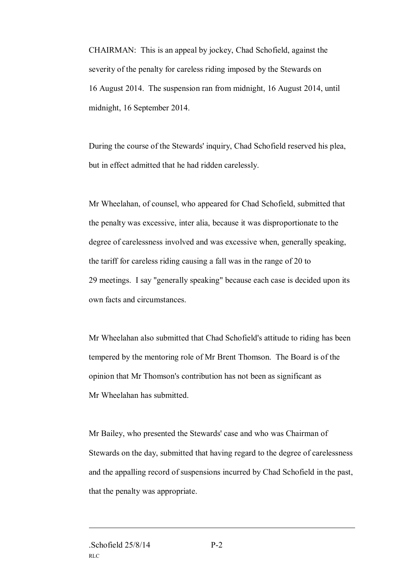CHAIRMAN: This is an appeal by jockey, Chad Schofield, against the severity of the penalty for careless riding imposed by the Stewards on 16 August 2014. The suspension ran from midnight, 16 August 2014, until midnight, 16 September 2014.

During the course of the Stewards' inquiry, Chad Schofield reserved his plea, but in effect admitted that he had ridden carelessly.

Mr Wheelahan, of counsel, who appeared for Chad Schofield, submitted that the penalty was excessive, inter alia, because it was disproportionate to the degree of carelessness involved and was excessive when, generally speaking, the tariff for careless riding causing a fall was in the range of 20 to 29 meetings. I say "generally speaking" because each case is decided upon its own facts and circumstances.

Mr Wheelahan also submitted that Chad Schofield's attitude to riding has been tempered by the mentoring role of Mr Brent Thomson. The Board is of the opinion that Mr Thomson's contribution has not been as significant as Mr Wheelahan has submitted.

Mr Bailey, who presented the Stewards' case and who was Chairman of Stewards on the day, submitted that having regard to the degree of carelessness and the appalling record of suspensions incurred by Chad Schofield in the past, that the penalty was appropriate.